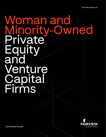### Woman and<br>Minority-Ow **Dwned** Private Equity and Venture **Capital** Firms



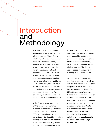# Introduction and Methodology

Fairview Capital has published its Market Review of Woman and Minority-Owned Private Equity and Venture Capital Firms annually since 2014. We have actively invested with diverse managers in partnership with many of the nation's leading institutional investors for nearly 30 years. As a leader in the category, we aspire to see every institutional quality woman and minority-owned firm in the market every year. As a result, we believe we have built the most comprehensive database of diverse managers in the country. This proprietary database serves as the data source for this Market Review.

In the Review, we provide data on the universe of woman and minority-owned firms, particularly those actively raising capital in 2021 – representing the most current opportunity set for investors seeking to invest with diverse firms. The criteria for classifying private equity or venture capital firms as

woman and/or minority-owned often varies. In this Market Review, we only consider institutionalquality private equity and venture capital firms that are majorityowned (>50%) by women and/or ethnic minorities. The firms must also be based in, and primarily investing in, the United States.

Investing with a prepared mind is critical to success in the private markets. In a market that can often be opaque, reliable data on the diverse manager market is often difficult to access. We believe that the data shared in this Market Review can continue to serve as a valuable tool to investors seeking to invest with diverse managers meaningfully. Fairview Capital provides the data in this Market Review openly to the public. **Should you utilize any of the statistics presented, please cite the source as Fairview Capital Partners, Inc.**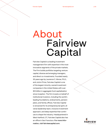### About Fairview Capital

Fairview Capital is a leading investment management firm with expertise in the most innovative segments of the private markets. The Firm builds portfolios targeting venture capital, diverse and emerging managers, and direct co-investments. Founded nearly 30 years ago by Laurence C. Morse, Ph.D., and JoAnn Price, Fairview Capital is one of the largest minority-owned investment companies in the United States with over \$10 billion in aggregate fund capitalization since inception. The firm invests on behalf of institutional investors, including the world's leading foundations, endowments, pension plans, and family offices. Fairview Capital is renowned for its entrepreneurial spirit, diverse leadership team, inclusive investment approach, and deep expertise that continues to shape the industry. Headquartered in West Hartford, CT, Fairview Capital also has an office in San Francisco. **For more information, visit fairviewcapital.com.** 

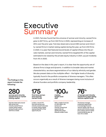### Executive Summary

In 2021, Fairview found that the universe of woman and minority-owned firms grew to 627 firms, up from 502 firms in 2020, representing an increase of 25% over the prior year. Fairview observed a record 280 woman and minority-owned firms in market raising capital during the year, up from 234 firms in 2020. In a year that featured record levels of capital inflows into the private markets, woman and minority-owned firms targeted 6% of the capital estimated to be raised by the private equity industry in 2021, up just modestly from 4% in 2020.

Based on the data in this year's report, it is clear that the opportunity set of diverse firms is large and dynamic. In addition to broader data and market characteristics, we share segmentations of our data by ethnicity and gender. We also present data on the multiplier effect – the higher levels of diversity typically found in the portfolio companies of diverse managers. This often occurs organically as a result of diverse managers being more inclusive of diverse founders and portfolio company leadership.

**The findings in this report include the following:**

woman and minority**woman and minority**- **owned firms in market raising capital** 

**Fairview observed a record 280 woman and minority**-**owned firms in market raising capital during the year, up from 234 firms in 2020**.

**175 first**-**time woman and minority**- **owned funds**

**In 2021, a record 175 first**-**time woman and minority**-**owned funds were in market raising capital, representing 63**% **of the opportunity set**.

**\$ 100M median target fund size** 

**With a median fund size of** \$**100 million, the woman and minority**-**owned fund opportunity set significantly skews towards smaller funds**.

of woman and minority**of woman and minority**- **owned firms were raising venture capital funds**

**The diverse manager investment opportunity is increasingly found in venture capital, with 76**% **of woman and minority**-**owned firms raising venture capital funds during the year, up from 72**% **in 2020**.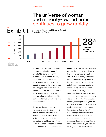#### The universe of woman and minority-owned firms continues to grow rapidly



Exhibit 1: Universe of Woman and Minority-Owned Private Equity Firms

> At the end of 2021, the universe of woman and minority-owned firms grew to 627 firms, up from 502 in 2020, a 25% increase. In 2014, there were just over 100 woman and minority-owned firms in the industry, meaning the universe has grown approximately 6x in size in seven years. The universe of woman and minority-owned firms has been growing at a substantial 28% compound annual growth rate over that timeframe.

> The growth in the universe of woman and minority-owned firms continues to be reflective of the increasing level of diverse talent in the industry, many with the conviction to build their own firms. Motivation often comes from limited opportunities to advance careers at

tenured firms, and the desire to help reshape the industry by building a diverse firm from the ground-up with a culture that truly embraces diversity. Ironically, the pandemic disproportionately impacted new and diverse firms since new firms became more difficult for most limited partners to diligence as processes shifted to virtual formats. Additionally, backing new managers was one of the first activities put on pause by limited partners, given the high level of market uncertainty. The persistent growth in the universe, despite the hurdles, is indicative of the strength of the motivation driving many diverse managers. Additionally, support systems such as advice and mentorship are increasingly accessible, as are firmbuilding resources and services.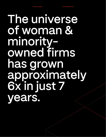# **The universe of woman & minorityowned firms has grown approximately 6x in just 7 years.**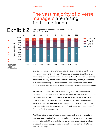Minority-Owned Firms as of December 31, 2021

### The vast majority of diverse managers are raising<br>first-time funds



### Exhibit 2: Fund Sequence of Woman and Minority-Owned

Growth in the universe of woman and minority-owned firms is driven by new firm formation, which is reflected in the number and proportion of first-time woman and minority-owned firms in the market. In 2021, a record 175 first-time woman and minority-owned firms were in market raising capital, representing 63% of the opportunity set. There has been a notable increase in first-time funds in market over the past two years, consistent with aforementioned trends.

First-time fundraises are known to be challenging and time-consuming, particularly for diverse managers. Moreover, these firms typically don't pursue traditional approaches to fundraising, meaning many fall below the radar of larger institutional investors and consulting firms. While investors often associate first-time funds with lack of experience or track records, Fairview has observed a notable rise in the quality of track records and experience of first-time funds in recent years.

Additionally, the number of experienced woman and minority-owned firms has never been greater. The year 2021 featured more experienced diverse managers in market than ever before, meaning ample opportunity exists to invest with diverse managers for investors who are not comfortable taking first-time fund risk.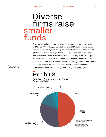### smaller funds Diverse firms raise

The median fund size for woman and minority-owned firms in the market in 2021 was \$100 million, up from \$75 million in 2020. In what was a record year for private equity fundraising, the median fund size industry-wide was \$170 million1 , demonstrating a distinguishable gap between diverse and non-diverse firms. Smaller fund sizes is one reason why diverse managers are often below the radar of many institutional investors and their consultants. Smaller fund sizes result in narrower fundraising processes and diverse managers often do not meet minimum size parameters implemented by institutional investors, including for emerging manager programs.

1 Pitchbook as of September 30, 2021

### Exhibit 3:

Fund Size of Woman-and Minority-Owned Firms in the Market

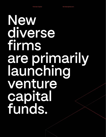# **New diverse firms are primarily launching venture capital funds.**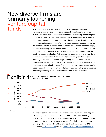### New diverse firms are primarily launching venture capital funds

as of December 31, 2021

In a continuation of a multi-year trend, the investment opportunity with woman and minority-owned firms is increasingly found in venture capital. In 2021, 76% of woman and minority-owned firms were raising venture capital funds, up from 72% in 2020. With venture capital representing the majority of the diverse manager opportunity set for the better part of a decade, it is clear that investors interested in allocating to diverse managers must be positioned well to invest in venture capital. Venture capital funds can be more challenging to evaluate than buyout and growth funds, and venture capital funds typically feature a higher dispersion of returns, placing even more importance on the quality of manager selection. Further, most woman and minority-owned firms raising venture capital funds are focused on early-stage strategies, often investing at the seed or pre-seed stage, offering potential investors the highest risks, but also the highest return potential. In 2021 there was a notable rise in woman and minority-owned firms focused on later stage venture capital opportunities. Founders of high-growth, later-stage technology companies are increasingly seeking diversity on their boards and in their cap tables.



A few diverse firms have built initiatives and funds around this trend, helping to diversify the boards and teams of these companies, while providing investors with access to highly sought-after investment opportunities. Sometimes, these firms will also allocate a portion of carried interest to support diversity-related causes. Notable examples of such funds raised in 2021 include the [Acrew DCF Fund](https://perspectives.acrewcapital.com/announcing-acrews-diversify-capital-fund-12179cfc4c07?gi=38b234efd8c2) and the [Base10 HBCU Advancement Initiative.](https://base10.vc/advancement-initiative/)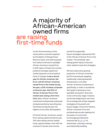### A majority of African-American owned firms are raising first-time funds

As the first anniversary of the racial justice movement sparked by the deaths of George Floyd, Breonna Taylor, and others passed, the market continued to spotlight African-American-owned firms in 2021. Many of these firms remain poised to leverage capital and market dynamics to be a positive force of change. **It was a record year for African-American-led firms, with 84 African-American owned firms in the market during the year, a 25% increase compared to the prior year. Also 87% of African-American firms in the market were raising a first-time fund.** Many African-American investment professionals embraced entrepreneurship by launching new franchises during the year, the highest of any other demographic.

Of the 84 African-American-owned firms raising capital during the year, 75% were raising venture capital funds, approximately in line with the universe of woman and minorityowned firms generally. Buyout strategies represented 15% of the African American firms in the market. The remainder were raising growth equity funds and other related investment strategies.

We have observed a growing proportion of African-Americanled firms exclusively targeting traditionally underrepresented entrepreneurs, and often African-American entrepreneurs specifically, in order to accelerate their goals of growing a more equitable ecosystem. Most also invest at the early stage. However, we are also beginning to see more firms emerge with similar targeted strategies at the growth and buyout stages. Across the industry, African-American firms and professionals are also tapping into the power of community by leveraging professional networks like **BLCK VC** for mentorship, coaching, training, and relationship building.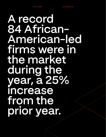## **A record 84 African-American-led firms were in the market during the year, a 25% increase**  from the **prior year.**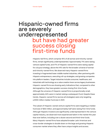### Hispanic-owned firms are severely underrepresented but have had greater success closing first-time funds

Hispanic-led firms, which comprise 15% of all woman and minority-owned firms, remain significantly underrepresented. Approximately 71% were raising venture capital funds, and 17% of Hispanic-owned firms were raising capital for a buyout strategy, above the 14% rate for the broader universe of woman and minority-owned firms. We observed many Hispanic-owned firms investing in fragmented lower middle market industries, often partnering with Hispanic entrepreneurs, executing roll-up strategies, and growing companies into platform leaders. Target industries include consumer, healthcare, and industrials with technology as a value creation lever across legacy businesses. Hispanic-owned firms are showing early indications that, compared to other demographics, they have greater success closing first-time funds. Although the universe of Hispanic-owned firms is proportionally small, approximately 44% were in market raising a subsequent fund. Despite these trends, Hispanic-owned firms (across all strategies) were only targeting a \$100 million median fund size in 2021.

The subset of Hispanic-owned venture capital firms were targeting a median fund size of \$50 million, and approximately half were raising first-time funds. Although Hispanic investors are significantly underrepresented in the venture capital industry, we observed more experienced talent in the market this year than ever before, including over a dozen second and third-time funds. Many Hispanic-owned firms have adopted broader Latin American and cross-border strategies to double down on the large and growing Hispanic consumer market where they often have unique insights and access.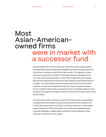### Most Asian-Americanowned firms were in market with a successor fund

Approximately 76% of Asian-American-owned firms were raising venture strategies with buyout and growth strategies each representing at least 10% of the Asian-American-owned firms in the market. The majority of Asian-American-owned firms in market in 2021 were raising a subsequent fund (non-first-time institutional fund). In fact, 30% of these firms were raising their second institutional fund and 25% were raising a third institutional fund or higher. This trend reflects the historical success rate of first-time Asian-American-owned firms. Despite the majority of Asian-American-owned firms in market in 2021 raising a subsequent fund, the median target fund size remained in line with the broader universe of woman and minority-owned firms at \$100 million.

The rate of new Asian-American-owned firm formation also remained high, consistent with the broader universe of woman and minority-owned firms. In 2021, there were 40 first-time Asian-American-owned firm in the market. Approximately one-third of these first-time funds were targeting buyout or growth strategies, a slightly higher proportion than subsequent Asian-American-owned firms in the market.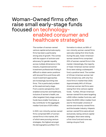### Woman-Owned firms often raise small early-stage funds focused on technologyenabled consumer and healthcare strategies

The number of woman-owned venture capital and private equity firms has been a particularly strong area of growth. This comes with the support of activism and advocacy for gender equality across multiple dimensions in the industry. Experienced women investment professionals finding it difficult to obtain senior positions with tenured firms and those with novel investment approaches are increasingly launching new firms. This is particularly evident at the seed and early stage. From a sector perspective, techenabled consumer and healthcare, inclusive of women's health, are often targeted. Early stage venture funds have smaller fund sizes, a key contributor to the aggregate median fund size of \$75 million.

In 2021, non-minority woman owned firms comprised 58% of womanowned firms in the market, 81% of which were pursuing venture strategies, the highest amongst the demographics profiled. Firm

formation is robust, as 58% of non-minority woman-owned firms were also raising first-time funds. During the year, Asian-Americanwoman owned firms comprised 20% of woman-owned firms in the market. Interestingly, the majority of Asian-American woman owned firms were raising a subsequent fund, a positive trend. The number of African American woman-led firms remains low, with only five more firms in market than 2020. Approximately 94% of African American woman-led firms were raising first-time venture capital funds. Further, African American woman-owned firms were targeting a \$30 million median fund size, well below the \$100 million median fund size for the broader universe of woman and minority-owned firms and the broader industry. Hispanic woman-owned firms were almost exclusively raising venture capital strategies. Most were raising a first-time fund and none was raising a buyout fund.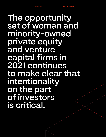**The opportunity set of woman and minority-owned private equity and venture capital firms in 2021 continues to make clear that intentionality on the part of investors is critical.**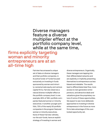Diverse managers feature a diverse multiplier effect at the portfolio company level, while at the same time,

#### firms explicitly targeting woman and minority entrepreneurs are at an all-time high

Fairview has amassed a unique set of data on diverse managers and their portfolio companies. In its active funds-of-funds focused exclusively on investing in funds sponsored by woman and minority-owned private equity and venture capital firms, Fairview observes a natural diverse multiplier effect at the portfolio company level. In one example, 65% of 180+ portfolio companies featured woman or minority executives. In another younger portfolio, 73% of the nearly 50 portfolio companies in the program featured woman or minority executives. None of these Fairview vehicles, nor the sub-funds, have an explicit strategy of investing in woman and

diverse entrepreneurs. Organically, these managers are tapping into their differentiated networks and are explicitly or implicitly presenting themselves to entrepreneurs as less biased and relatable. The results lead to differentiated deal flow, more access to next generation entrepreneurs, and attractive deals and valuations given the proprietary nature of some of these opportunities. We expect to see more deliberate approaches to investing in diverse entrepreneurs in the future as more firms take advantage of this overlooked opportunity set.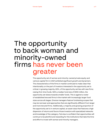### The opportunity to back woman and minority-owned firms has never been greater

The opportunity set of woman and minority-owned private equity and venture capital firm in 2021 exhibited significant growth and dynamism. The characteristics of the firms in market continued to make clear that intentionality on the part of investors interested in the opportunity set is critical. A growing majority, 63%, of the opportunity set lies with new firms raising first-time funds. With a median fund size of \$100 million, the opportunity set skews towards smaller funds. This is against a roster of established tenured firms in the market with increasingly larger fund sizes across all stages. Diverse managers feature fundraising scopes that may be narrower and approaches that are significantly different from larger and more tenured firms. Additionally, a majority and growing proportion of the opportunity set is in venture capital, an asset class that features a high dispersion of returns and favors those investors with specialized networks and knowledge of the category. Fairview is confident that opportunities will continue to be plentiful and rewarding for the institutions that take the time and effort to invest with woman and minority managers.